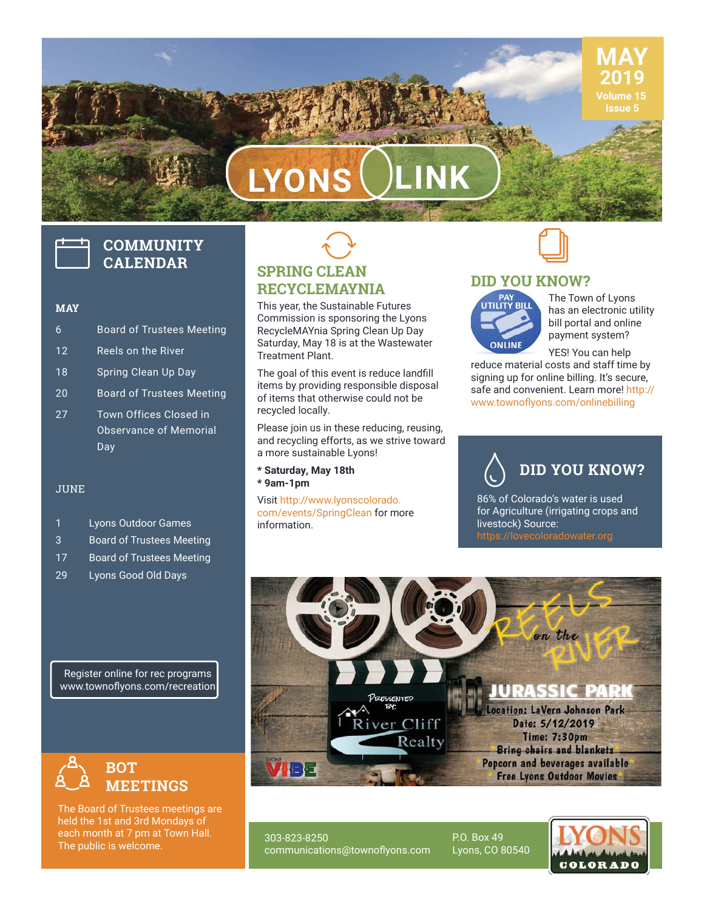## **LYONS LINK**

# **COMMUNITY CALENDAR**

#### **MAY**

- 6 Board of Trustees Meeting 12 Reels on the River 18 Spring Clean Up Day 20 Board of Trustees Meeting
- 27 Town Offices Closed in Observance of Memorial Day

#### JUNE

- 1 Lyons Outdoor Games
- 3 Board of Trustees Meeting
- 17 Board of Trustees Meeting
- 29 Lyons Good Old Days

Register online for rec programs www.townoflyons.com/recreation



The Board of Trustees meetings are held the 1st and 3rd Mondays of each month at 7 pm at Town Hall. The public is welcome.

## **SPRING CLEAN RECYCLEMAYNIA**  $\bigodot$

This year, the Sustainable Futures Commission is sponsoring the Lyons RecycleMAYnia Spring Clean Up Day Saturday, May 18 is at the Wastewater Treatment Plant.

The goal of this event is reduce landfill items by providing responsible disposal of items that otherwise could not be recycled locally.

Please join us in these reducing, reusing, and recycling efforts, as we strive toward a more sustainable Lyons!

**\* Saturday, May 18th \* 9am-1pm**

Visit http://www.lyonscolorado. com/events/SpringClean for more information.



#### **DID YOU KNOW?**



The Town of Lyons has an electronic utility bill portal and online payment system?

**MAY 2019 Volume 15 Issue 5**

YES! You can help reduce material costs and staff time by signing up for online billing. It's secure, safe and convenient. Learn more! http:// www.townoflyons.com/onlinebilling

**DID YOU KNOW?**  $\Diamond$ 

86% of Colorado's water is used for Agriculture (irrigating crops and livestock) Source:



303-823-8250 communications@townoflyons.com P.O. Box 49 Lyons, CO 80540